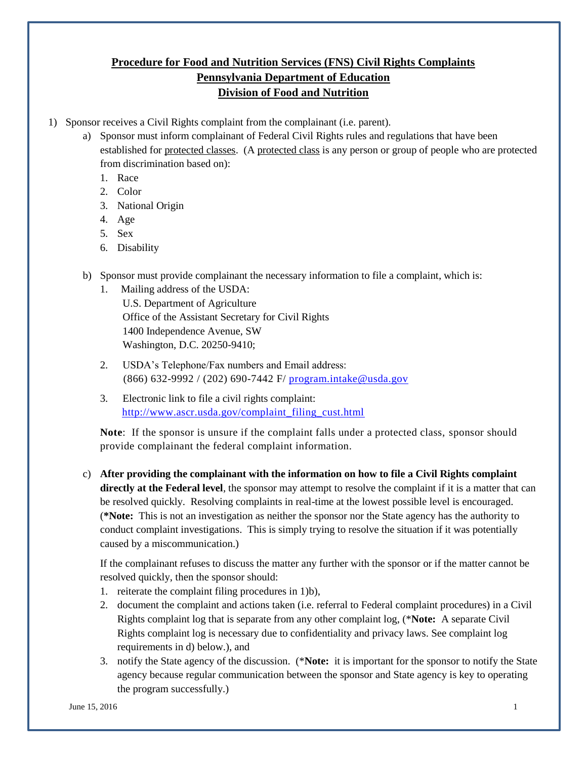## **Procedure for Food and Nutrition Services (FNS) Civil Rights Complaints Pennsylvania Department of Education Division of Food and Nutrition**

- 1) Sponsor receives a Civil Rights complaint from the complainant (i.e. parent).
	- a) Sponsor must inform complainant of Federal Civil Rights rules and regulations that have been established for protected classes. (A protected class is any person or group of people who are protected from discrimination based on):
		- 1. Race
		- 2. Color
		- 3. National Origin
		- 4. Age
		- 5. Sex
		- 6. Disability
	- b) Sponsor must provide complainant the necessary information to file a complaint, which is:
		- 1. Mailing address of the USDA: U.S. Department of Agriculture Office of the Assistant Secretary for Civil Rights 1400 Independence Avenue, SW Washington, D.C. 20250-9410;
		- 2. USDA's Telephone/Fax numbers and Email address: (866) 632-9992 / (202) 690-7442 F/ [program.intake@usda.gov](mailto:program.intake@usda.gov)
		- 3. Electronic link to file a civil rights complaint: [http://www.ascr.usda.gov/complaint\\_filing\\_cust.html](http://www.ascr.usda.gov/complaint_filing_cust.html)

**Note**: If the sponsor is unsure if the complaint falls under a protected class, sponsor should provide complainant the federal complaint information.

c) **After providing the complainant with the information on how to file a Civil Rights complaint directly at the Federal level**, the sponsor may attempt to resolve the complaint if it is a matter that can be resolved quickly. Resolving complaints in real-time at the lowest possible level is encouraged. (**\*Note:** This is not an investigation as neither the sponsor nor the State agency has the authority to conduct complaint investigations. This is simply trying to resolve the situation if it was potentially caused by a miscommunication.)

If the complainant refuses to discuss the matter any further with the sponsor or if the matter cannot be resolved quickly, then the sponsor should:

- 1. reiterate the complaint filing procedures in 1)b),
- 2. document the complaint and actions taken (i.e. referral to Federal complaint procedures) in a Civil Rights complaint log that is separate from any other complaint log, (\***Note:** A separate Civil Rights complaint log is necessary due to confidentiality and privacy laws. See complaint log requirements in d) below.), and
- 3. notify the State agency of the discussion. (\***Note:** it is important for the sponsor to notify the State agency because regular communication between the sponsor and State agency is key to operating the program successfully.)